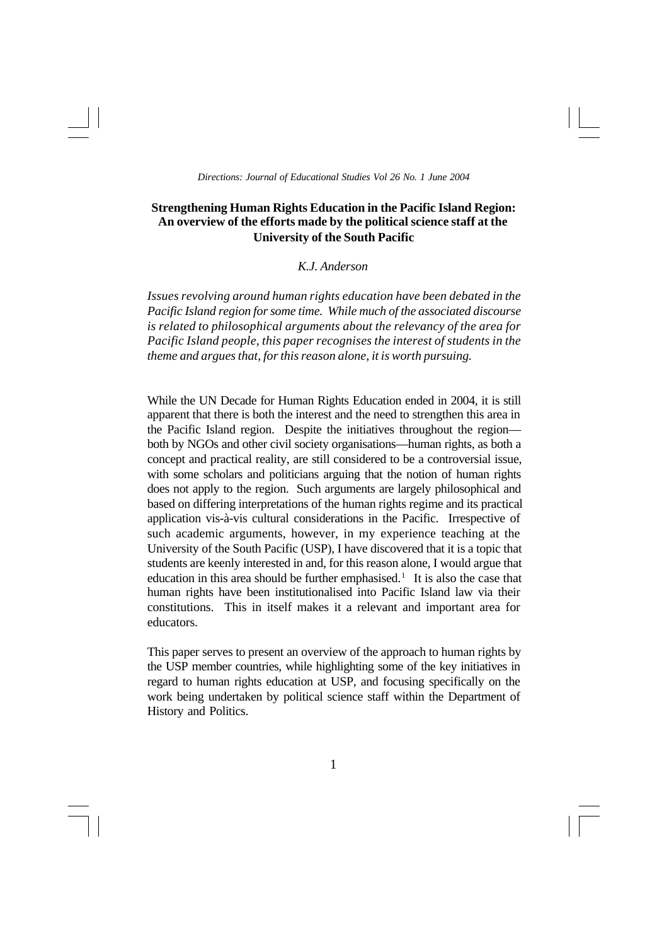# **Strengthening Human Rights Education in the Pacific Island Region: An overview of the efforts made by the political science staff at the University of the South Pacific**

# *K.J. Anderson*

*Issues revolving around human rights education have been debated in the Pacific Island region for some time. While much of the associated discourse is related to philosophical arguments about the relevancy of the area for Pacific Island people, this paper recognises the interest of students in the theme and argues that, for this reason alone, it is worth pursuing.*

While the UN Decade for Human Rights Education ended in 2004, it is still apparent that there is both the interest and the need to strengthen this area in the Pacific Island region. Despite the initiatives throughout the region both by NGOs and other civil society organisations—human rights, as both a concept and practical reality, are still considered to be a controversial issue, with some scholars and politicians arguing that the notion of human rights does not apply to the region. Such arguments are largely philosophical and based on differing interpretations of the human rights regime and its practical application vis-à-vis cultural considerations in the Pacific. Irrespective of such academic arguments, however, in my experience teaching at the University of the South Pacific (USP), I have discovered that it is a topic that students are keenly interested in and, for this reason alone, I would argue that education in this area should be further emphasised.<sup>1</sup> It is also the case that human rights have been institutionalised into Pacific Island law via their constitutions. This in itself makes it a relevant and important area for educators.

This paper serves to present an overview of the approach to human rights by the USP member countries, while highlighting some of the key initiatives in regard to human rights education at USP, and focusing specifically on the work being undertaken by political science staff within the Department of History and Politics.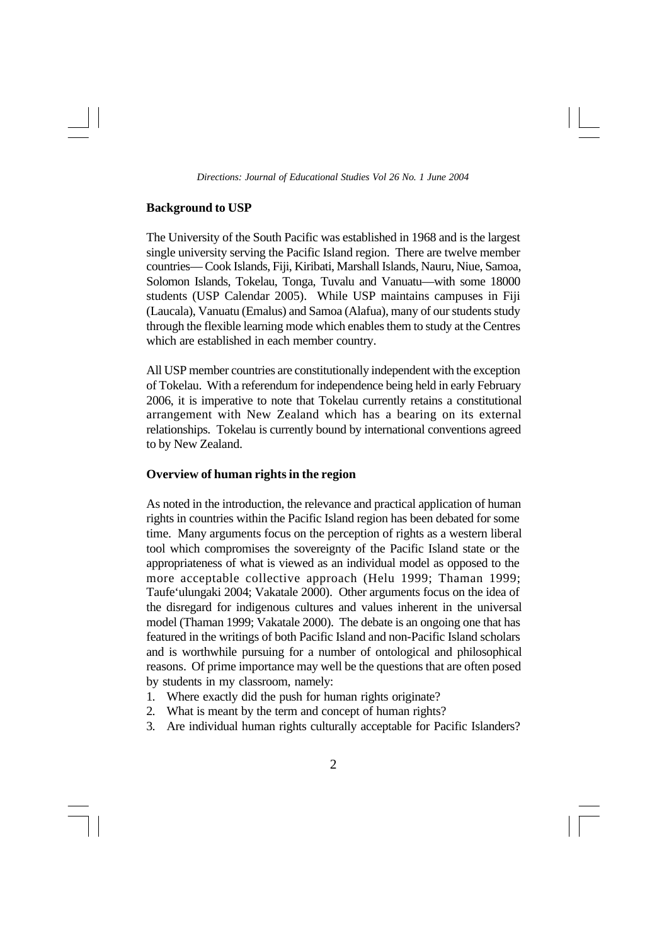### **Background to USP**

The University of the South Pacific was established in 1968 and is the largest single university serving the Pacific Island region. There are twelve member countries— Cook Islands, Fiji, Kiribati, Marshall Islands, Nauru, Niue, Samoa, Solomon Islands, Tokelau, Tonga, Tuvalu and Vanuatu—with some 18000 students (USP Calendar 2005). While USP maintains campuses in Fiji (Laucala), Vanuatu (Emalus) and Samoa (Alafua), many of our students study through the flexible learning mode which enables them to study at the Centres which are established in each member country.

All USP member countries are constitutionally independent with the exception of Tokelau. With a referendum for independence being held in early February 2006, it is imperative to note that Tokelau currently retains a constitutional arrangement with New Zealand which has a bearing on its external relationships. Tokelau is currently bound by international conventions agreed to by New Zealand.

# **Overview of human rights in the region**

As noted in the introduction, the relevance and practical application of human rights in countries within the Pacific Island region has been debated for some time. Many arguments focus on the perception of rights as a western liberal tool which compromises the sovereignty of the Pacific Island state or the appropriateness of what is viewed as an individual model as opposed to the more acceptable collective approach (Helu 1999; Thaman 1999; Taufe'ulungaki 2004; Vakatale 2000). Other arguments focus on the idea of the disregard for indigenous cultures and values inherent in the universal model (Thaman 1999; Vakatale 2000). The debate is an ongoing one that has featured in the writings of both Pacific Island and non-Pacific Island scholars and is worthwhile pursuing for a number of ontological and philosophical reasons. Of prime importance may well be the questions that are often posed by students in my classroom, namely:

- 1. Where exactly did the push for human rights originate?
- 2. What is meant by the term and concept of human rights?
- 3. Are individual human rights culturally acceptable for Pacific Islanders?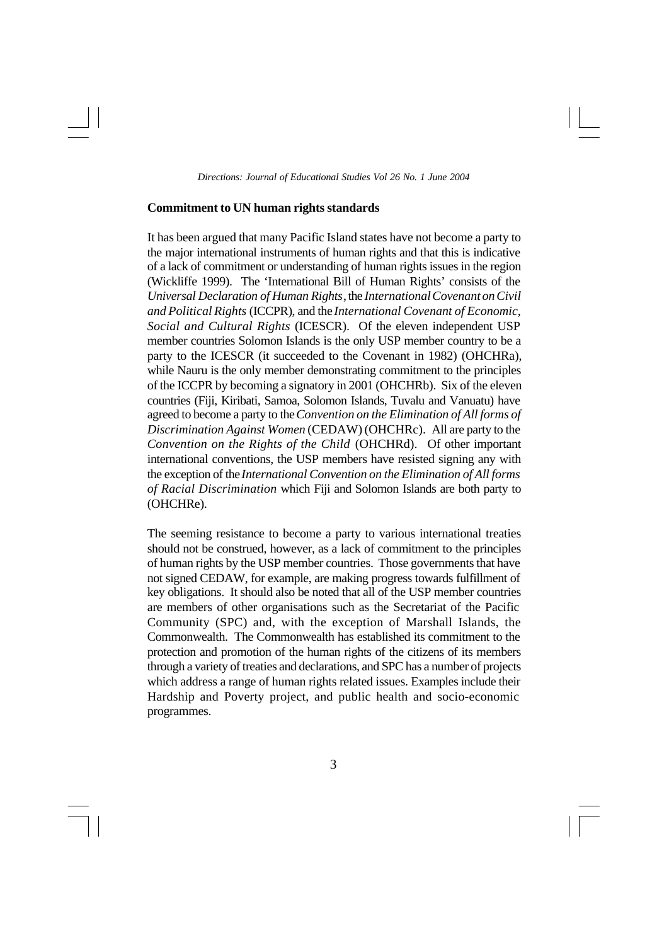# **Commitment to UN human rights standards**

It has been argued that many Pacific Island states have not become a party to the major international instruments of human rights and that this is indicative of a lack of commitment or understanding of human rights issues in the region (Wickliffe 1999). The 'International Bill of Human Rights' consists of the *Universal Declaration of Human Rights*, the *International Covenant on Civil and Political Rights* (ICCPR), and the *International Covenant of Economic, Social and Cultural Rights* (ICESCR). Of the eleven independent USP member countries Solomon Islands is the only USP member country to be a party to the ICESCR (it succeeded to the Covenant in 1982) (OHCHRa), while Nauru is the only member demonstrating commitment to the principles of the ICCPR by becoming a signatory in 2001 (OHCHRb). Six of the eleven countries (Fiji, Kiribati, Samoa, Solomon Islands, Tuvalu and Vanuatu) have agreed to become a party to the *Convention on the Elimination of All forms of Discrimination Against Women* (CEDAW) (OHCHRc). All are party to the *Convention on the Rights of the Child* (OHCHRd). Of other important international conventions, the USP members have resisted signing any with the exception of the *International Convention on the Elimination of All forms of Racial Discrimination* which Fiji and Solomon Islands are both party to (OHCHRe).

The seeming resistance to become a party to various international treaties should not be construed, however, as a lack of commitment to the principles of human rights by the USP member countries. Those governments that have not signed CEDAW, for example, are making progress towards fulfillment of key obligations. It should also be noted that all of the USP member countries are members of other organisations such as the Secretariat of the Pacific Community (SPC) and, with the exception of Marshall Islands, the Commonwealth. The Commonwealth has established its commitment to the protection and promotion of the human rights of the citizens of its members through a variety of treaties and declarations, and SPC has a number of projects which address a range of human rights related issues. Examples include their Hardship and Poverty project, and public health and socio-economic programmes.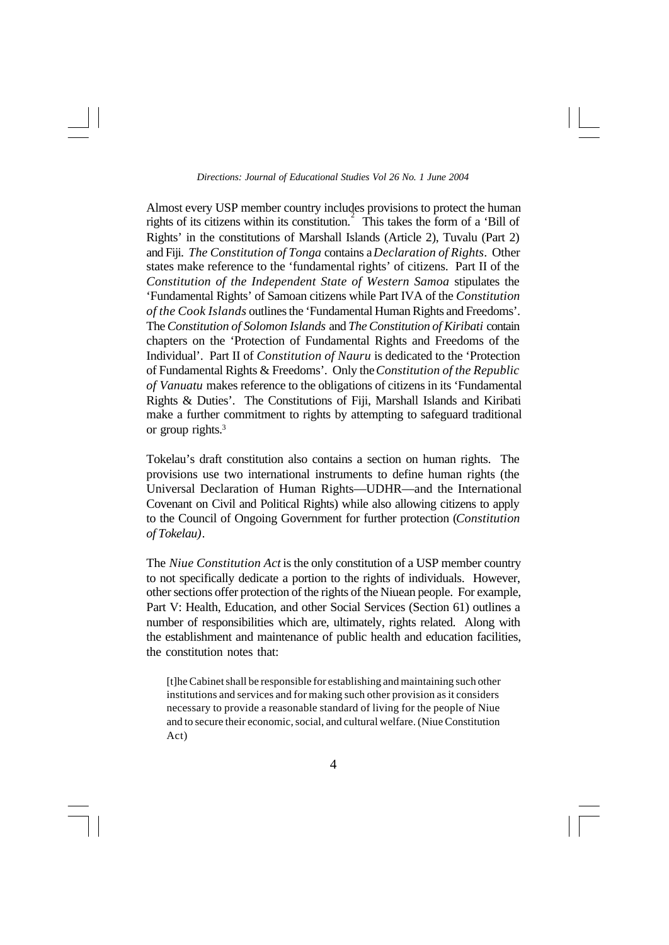Almost every USP member country includes provisions to protect the human rights of its citizens within its constitution.<sup>2</sup> This takes the form of a 'Bill of Rights' in the constitutions of Marshall Islands (Article 2), Tuvalu (Part 2) and Fiji. *The Constitution of Tonga* contains a *Declaration of Rights*. Other states make reference to the 'fundamental rights' of citizens. Part II of the *Constitution of the Independent State of Western Samoa* stipulates the 'Fundamental Rights' of Samoan citizens while Part IVA of the *Constitution of the Cook Islands* outlines the 'Fundamental Human Rights and Freedoms'. The *Constitution of Solomon Islands* and *The Constitution of Kiribati* contain chapters on the 'Protection of Fundamental Rights and Freedoms of the Individual'. Part II of *Constitution of Nauru* is dedicated to the 'Protection of Fundamental Rights & Freedoms'. Only the *Constitution of the Republic of Vanuatu* makes reference to the obligations of citizens in its 'Fundamental Rights & Duties'. The Constitutions of Fiji, Marshall Islands and Kiribati make a further commitment to rights by attempting to safeguard traditional or group rights.<sup>3</sup>

Tokelau's draft constitution also contains a section on human rights. The provisions use two international instruments to define human rights (the Universal Declaration of Human Rights—UDHR—and the International Covenant on Civil and Political Rights) while also allowing citizens to apply to the Council of Ongoing Government for further protection (*Constitution of Tokelau)*.

The *Niue Constitution Act* is the only constitution of a USP member country to not specifically dedicate a portion to the rights of individuals. However, other sections offer protection of the rights of the Niuean people. For example, Part V: Health, Education, and other Social Services (Section 61) outlines a number of responsibilities which are, ultimately, rights related. Along with the establishment and maintenance of public health and education facilities, the constitution notes that:

[t]he Cabinet shall be responsible for establishing and maintaining such other institutions and services and for making such other provision as it considers necessary to provide a reasonable standard of living for the people of Niue and to secure their economic, social, and cultural welfare. (Niue Constitution Act)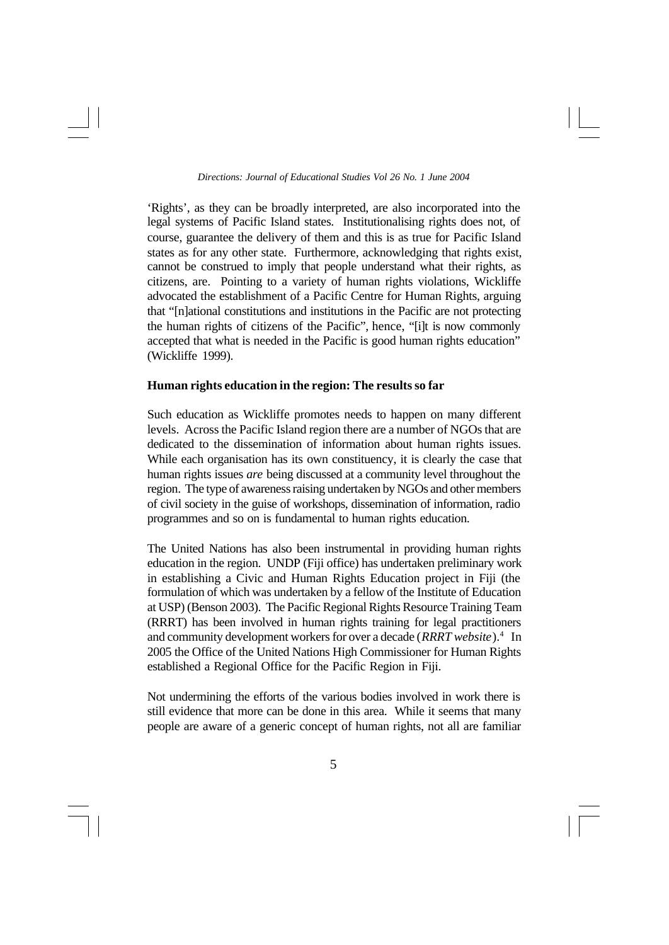'Rights', as they can be broadly interpreted, are also incorporated into the legal systems of Pacific Island states. Institutionalising rights does not, of course, guarantee the delivery of them and this is as true for Pacific Island states as for any other state. Furthermore, acknowledging that rights exist, cannot be construed to imply that people understand what their rights, as citizens, are. Pointing to a variety of human rights violations, Wickliffe advocated the establishment of a Pacific Centre for Human Rights, arguing that "[n]ational constitutions and institutions in the Pacific are not protecting the human rights of citizens of the Pacific", hence, "[i]t is now commonly accepted that what is needed in the Pacific is good human rights education" (Wickliffe 1999).

# **Human rights education in the region: The results so far**

Such education as Wickliffe promotes needs to happen on many different levels. Across the Pacific Island region there are a number of NGOs that are dedicated to the dissemination of information about human rights issues. While each organisation has its own constituency, it is clearly the case that human rights issues *are* being discussed at a community level throughout the region. The type of awareness raising undertaken by NGOs and other members of civil society in the guise of workshops, dissemination of information, radio programmes and so on is fundamental to human rights education.

The United Nations has also been instrumental in providing human rights education in the region. UNDP (Fiji office) has undertaken preliminary work in establishing a Civic and Human Rights Education project in Fiji (the formulation of which was undertaken by a fellow of the Institute of Education at USP) (Benson 2003). The Pacific Regional Rights Resource Training Team (RRRT) has been involved in human rights training for legal practitioners and community development workers for over a decade (*RRRT website*).<sup>4</sup> In 2005 the Office of the United Nations High Commissioner for Human Rights established a Regional Office for the Pacific Region in Fiji.

Not undermining the efforts of the various bodies involved in work there is still evidence that more can be done in this area. While it seems that many people are aware of a generic concept of human rights, not all are familiar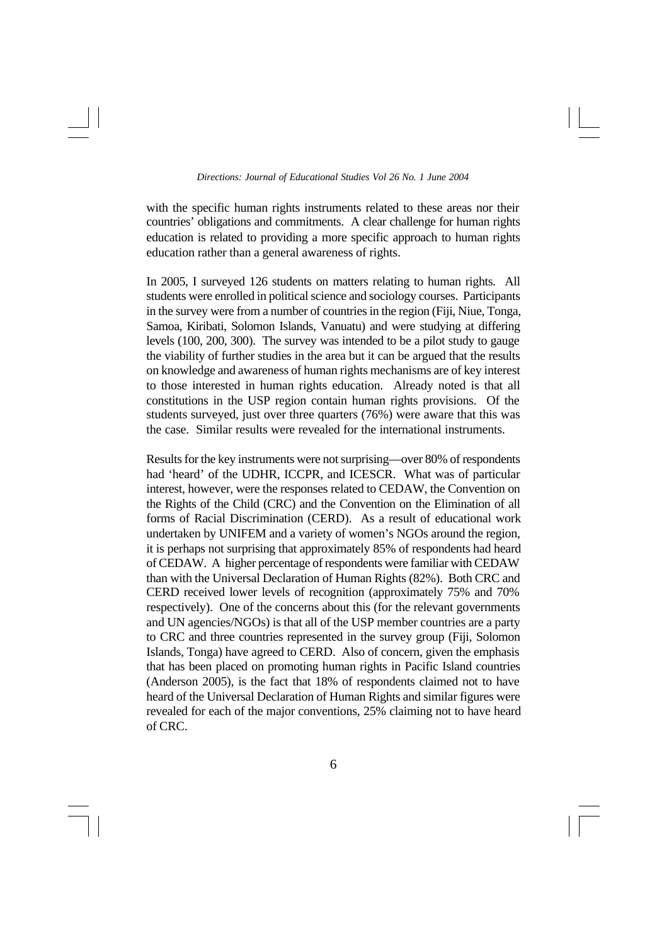with the specific human rights instruments related to these areas nor their countries' obligations and commitments. A clear challenge for human rights education is related to providing a more specific approach to human rights education rather than a general awareness of rights.

In 2005, I surveyed 126 students on matters relating to human rights. All students were enrolled in political science and sociology courses. Participants in the survey were from a number of countries in the region (Fiji, Niue, Tonga, Samoa, Kiribati, Solomon Islands, Vanuatu) and were studying at differing levels (100, 200, 300). The survey was intended to be a pilot study to gauge the viability of further studies in the area but it can be argued that the results on knowledge and awareness of human rights mechanisms are of key interest to those interested in human rights education. Already noted is that all constitutions in the USP region contain human rights provisions. Of the students surveyed, just over three quarters (76%) were aware that this was the case. Similar results were revealed for the international instruments.

Results for the key instruments were not surprising—over 80% of respondents had 'heard' of the UDHR, ICCPR, and ICESCR. What was of particular interest, however, were the responses related to CEDAW, the Convention on the Rights of the Child (CRC) and the Convention on the Elimination of all forms of Racial Discrimination (CERD). As a result of educational work undertaken by UNIFEM and a variety of women's NGOs around the region, it is perhaps not surprising that approximately 85% of respondents had heard of CEDAW. A higher percentage of respondents were familiar with CEDAW than with the Universal Declaration of Human Rights (82%). Both CRC and CERD received lower levels of recognition (approximately 75% and 70% respectively). One of the concerns about this (for the relevant governments and UN agencies/NGOs) is that all of the USP member countries are a party to CRC and three countries represented in the survey group (Fiji, Solomon Islands, Tonga) have agreed to CERD. Also of concern, given the emphasis that has been placed on promoting human rights in Pacific Island countries (Anderson 2005), is the fact that 18% of respondents claimed not to have heard of the Universal Declaration of Human Rights and similar figures were revealed for each of the major conventions, 25% claiming not to have heard of CRC.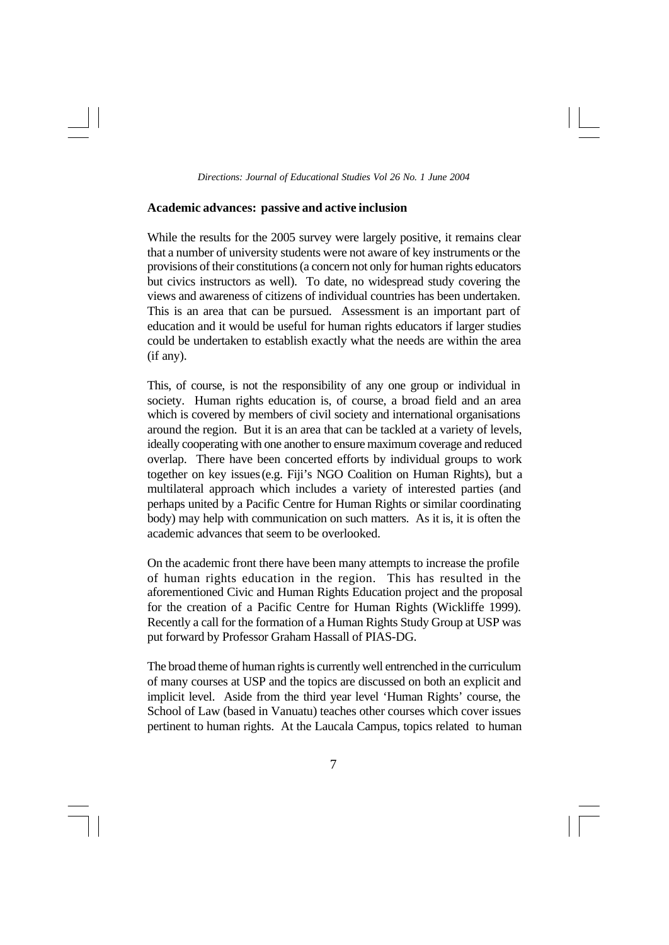# **Academic advances: passive and active inclusion**

While the results for the 2005 survey were largely positive, it remains clear that a number of university students were not aware of key instruments or the provisions of their constitutions (a concern not only for human rights educators but civics instructors as well). To date, no widespread study covering the views and awareness of citizens of individual countries has been undertaken. This is an area that can be pursued. Assessment is an important part of education and it would be useful for human rights educators if larger studies could be undertaken to establish exactly what the needs are within the area (if any).

This, of course, is not the responsibility of any one group or individual in society. Human rights education is, of course, a broad field and an area which is covered by members of civil society and international organisations around the region. But it is an area that can be tackled at a variety of levels, ideally cooperating with one another to ensure maximum coverage and reduced overlap. There have been concerted efforts by individual groups to work together on key issues(e.g. Fiji's NGO Coalition on Human Rights), but a multilateral approach which includes a variety of interested parties (and perhaps united by a Pacific Centre for Human Rights or similar coordinating body) may help with communication on such matters. As it is, it is often the academic advances that seem to be overlooked.

On the academic front there have been many attempts to increase the profile of human rights education in the region. This has resulted in the aforementioned Civic and Human Rights Education project and the proposal for the creation of a Pacific Centre for Human Rights (Wickliffe 1999). Recently a call for the formation of a Human Rights Study Group at USP was put forward by Professor Graham Hassall of PIAS-DG.

The broad theme of human rights is currently well entrenched in the curriculum of many courses at USP and the topics are discussed on both an explicit and implicit level. Aside from the third year level 'Human Rights' course, the School of Law (based in Vanuatu) teaches other courses which cover issues pertinent to human rights. At the Laucala Campus, topics related to human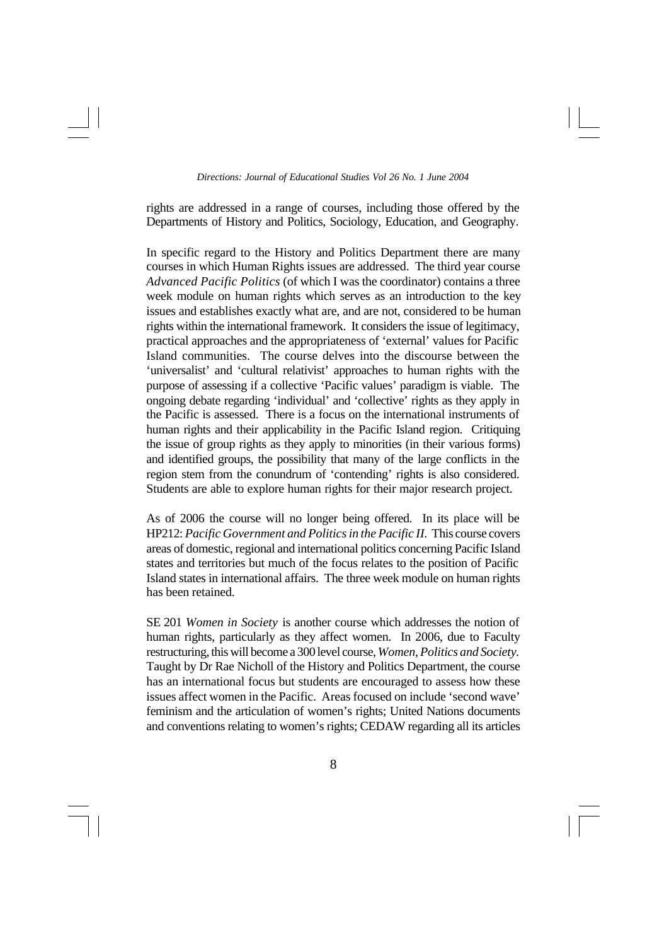rights are addressed in a range of courses, including those offered by the Departments of History and Politics, Sociology, Education, and Geography.

In specific regard to the History and Politics Department there are many courses in which Human Rights issues are addressed. The third year course *Advanced Pacific Politics* (of which I was the coordinator) contains a three week module on human rights which serves as an introduction to the key issues and establishes exactly what are, and are not, considered to be human rights within the international framework. It considers the issue of legitimacy, practical approaches and the appropriateness of 'external' values for Pacific Island communities. The course delves into the discourse between the 'universalist' and 'cultural relativist' approaches to human rights with the purpose of assessing if a collective 'Pacific values' paradigm is viable. The ongoing debate regarding 'individual' and 'collective' rights as they apply in the Pacific is assessed. There is a focus on the international instruments of human rights and their applicability in the Pacific Island region. Critiquing the issue of group rights as they apply to minorities (in their various forms) and identified groups, the possibility that many of the large conflicts in the region stem from the conundrum of 'contending' rights is also considered. Students are able to explore human rights for their major research project.

As of 2006 the course will no longer being offered. In its place will be HP212: *Pacific Government and Politics in the Pacific II.* This course covers areas of domestic, regional and international politics concerning Pacific Island states and territories but much of the focus relates to the position of Pacific Island states in international affairs. The three week module on human rights has been retained.

SE 201 *Women in Society* is another course which addresses the notion of human rights, particularly as they affect women. In 2006, due to Faculty restructuring, this will become a 300 level course, *Women, Politics and Society.* Taught by Dr Rae Nicholl of the History and Politics Department, the course has an international focus but students are encouraged to assess how these issues affect women in the Pacific. Areas focused on include 'second wave' feminism and the articulation of women's rights; United Nations documents and conventions relating to women's rights; CEDAW regarding all its articles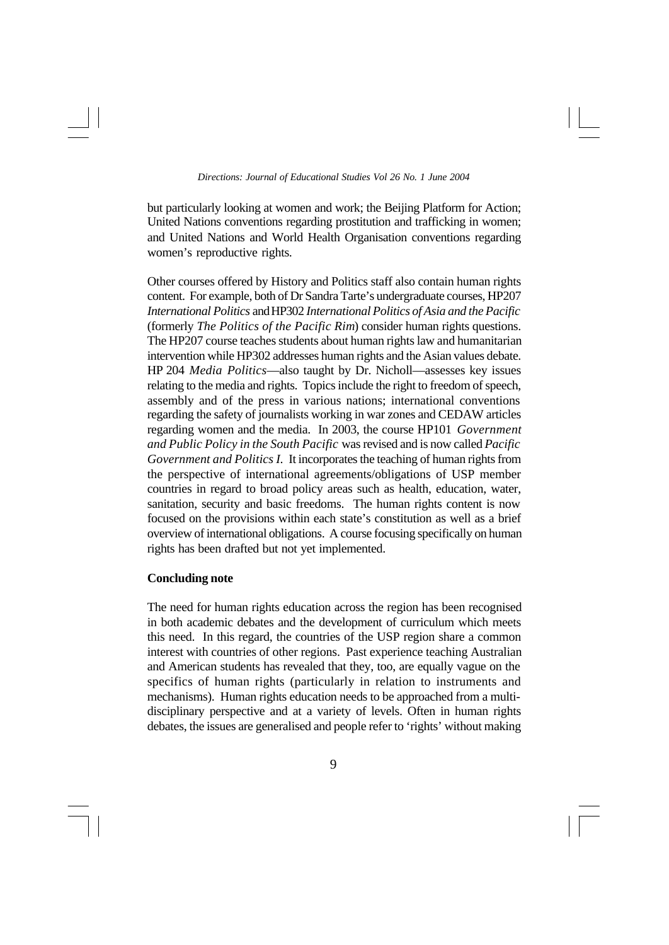but particularly looking at women and work; the Beijing Platform for Action; United Nations conventions regarding prostitution and trafficking in women; and United Nations and World Health Organisation conventions regarding women's reproductive rights.

Other courses offered by History and Politics staff also contain human rights content. For example, both of Dr Sandra Tarte's undergraduate courses, HP207 *International Politics* and HP302 *International Politics of Asia and the Pacific* (formerly *The Politics of the Pacific Rim*) consider human rights questions. The HP207 course teaches students about human rights law and humanitarian intervention while HP302 addresses human rights and the Asian values debate. HP 204 *Media Politics*—also taught by Dr. Nicholl—assesses key issues relating to the media and rights. Topics include the right to freedom of speech, assembly and of the press in various nations; international conventions regarding the safety of journalists working in war zones and CEDAW articles regarding women and the media. In 2003, the course HP101 *Government and Public Policy in the South Pacific* was revised and is now called *Pacific Government and Politics I.* It incorporates the teaching of human rights from the perspective of international agreements/obligations of USP member countries in regard to broad policy areas such as health, education, water, sanitation, security and basic freedoms. The human rights content is now focused on the provisions within each state's constitution as well as a brief overview of international obligations. A course focusing specifically on human rights has been drafted but not yet implemented.

### **Concluding note**

The need for human rights education across the region has been recognised in both academic debates and the development of curriculum which meets this need. In this regard, the countries of the USP region share a common interest with countries of other regions. Past experience teaching Australian and American students has revealed that they, too, are equally vague on the specifics of human rights (particularly in relation to instruments and mechanisms). Human rights education needs to be approached from a multidisciplinary perspective and at a variety of levels. Often in human rights debates, the issues are generalised and people refer to 'rights' without making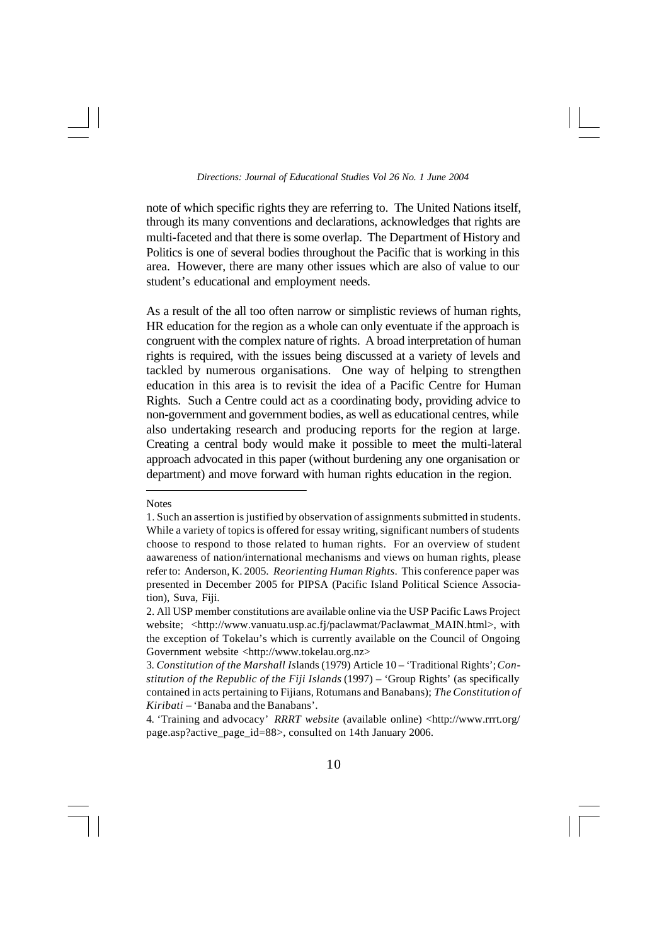note of which specific rights they are referring to. The United Nations itself, through its many conventions and declarations, acknowledges that rights are multi-faceted and that there is some overlap. The Department of History and Politics is one of several bodies throughout the Pacific that is working in this area. However, there are many other issues which are also of value to our student's educational and employment needs.

As a result of the all too often narrow or simplistic reviews of human rights, HR education for the region as a whole can only eventuate if the approach is congruent with the complex nature of rights. A broad interpretation of human rights is required, with the issues being discussed at a variety of levels and tackled by numerous organisations. One way of helping to strengthen education in this area is to revisit the idea of a Pacific Centre for Human Rights. Such a Centre could act as a coordinating body, providing advice to non-government and government bodies, as well as educational centres, while also undertaking research and producing reports for the region at large. Creating a central body would make it possible to meet the multi-lateral approach advocated in this paper (without burdening any one organisation or department) and move forward with human rights education in the region.

Notes

<sup>1.</sup> Such an assertion is justified by observation of assignments submitted in students. While a variety of topics is offered for essay writing, significant numbers of students choose to respond to those related to human rights. For an overview of student aawareness of nation/international mechanisms and views on human rights, please refer to: Anderson, K. 2005. *Reorienting Human Rights*. This conference paper was presented in December 2005 for PIPSA (Pacific Island Political Science Association), Suva, Fiji.

<sup>2.</sup> All USP member constitutions are available online via the USP Pacific Laws Project website; <http://www.vanuatu.usp.ac.fj/paclawmat/Paclawmat\_MAIN.html>, with the exception of Tokelau's which is currently available on the Council of Ongoing Government website <http://www.tokelau.org.nz>

<sup>3.</sup> *Constitution of the Marshall Is*lands (1979) Article 10 – 'Traditional Rights'; *Constitution of the Republic of the Fiji Islands* (1997) – 'Group Rights' (as specifically contained in acts pertaining to Fijians, Rotumans and Banabans); *The Constitution of Kiribati* – 'Banaba and the Banabans'.

<sup>4. &#</sup>x27;Training and advocacy' *RRRT website* (available online) <http://www.rrrt.org/ page.asp?active\_page\_id=88>, consulted on 14th January 2006.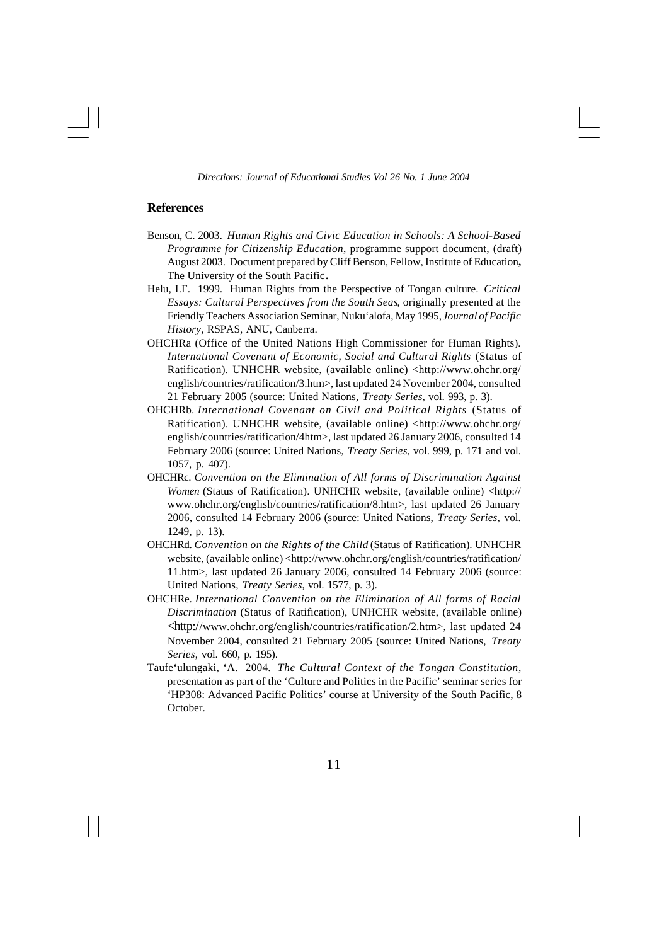# **References**

- Benson, C. 2003. *Human Rights and Civic Education in Schools: A School-Based Programme for Citizenship Education*, programme support document, (draft) August 2003. Document prepared by Cliff Benson, Fellow, Institute of Education**,** The University of the South Pacific**.**
- Helu, I.F. 1999. Human Rights from the Perspective of Tongan culture. *Critical Essays: Cultural Perspectives from the South Seas*, originally presented at the Friendly Teachers Association Seminar, Nuku'alofa, May 1995, *Journal of Pacific History*, RSPAS, ANU, Canberra.
- OHCHRa (Office of the United Nations High Commissioner for Human Rights). *International Covenant of Economic, Social and Cultural Rights* (Status of Ratification). UNHCHR website, (available online) <http://www.ohchr.org/ english/countries/ratification/3.htm>, last updated 24 November 2004, consulted 21 February 2005 (source: United Nations, *Treaty Series*, vol. 993, p. 3).
- OHCHRb. *International Covenant on Civil and Political Rights* (Status of Ratification). UNHCHR website, (available online) <http://www.ohchr.org/ english/countries/ratification/4htm>, last updated 26 January 2006, consulted 14 February 2006 (source: United Nations, *Treaty Series*, vol. 999, p. 171 and vol. 1057, p. 407).
- OHCHRc. *Convention on the Elimination of All forms of Discrimination Against Women* (Status of Ratification). UNHCHR website, (available online) <http:// www.ohchr.org/english/countries/ratification/8.htm>, last updated 26 January 2006, consulted 14 February 2006 (source: United Nations, *Treaty Series*, vol. 1249, p. 13).
- OHCHRd. *Convention on the Rights of the Child* (Status of Ratification). UNHCHR website, (available online) <http://www.ohchr.org/english/countries/ratification/ 11.htm>, last updated 26 January 2006, consulted 14 February 2006 (source: United Nations, *Treaty Series*, vol. 1577, p. 3).
- OHCHRe. *International Convention on the Elimination of All forms of Racial Discrimination* (Status of Ratification), UNHCHR website, (available online) <http://www.ohchr.org/english/countries/ratification/2.htm>, last updated 24 November 2004, consulted 21 February 2005 (source: United Nations, *Treaty Series*, vol. 660, p. 195).
- Taufe'ulungaki, 'A. 2004. *The Cultural Context of the Tongan Constitution*, presentation as part of the 'Culture and Politics in the Pacific' seminar series for 'HP308: Advanced Pacific Politics' course at University of the South Pacific, 8 October.